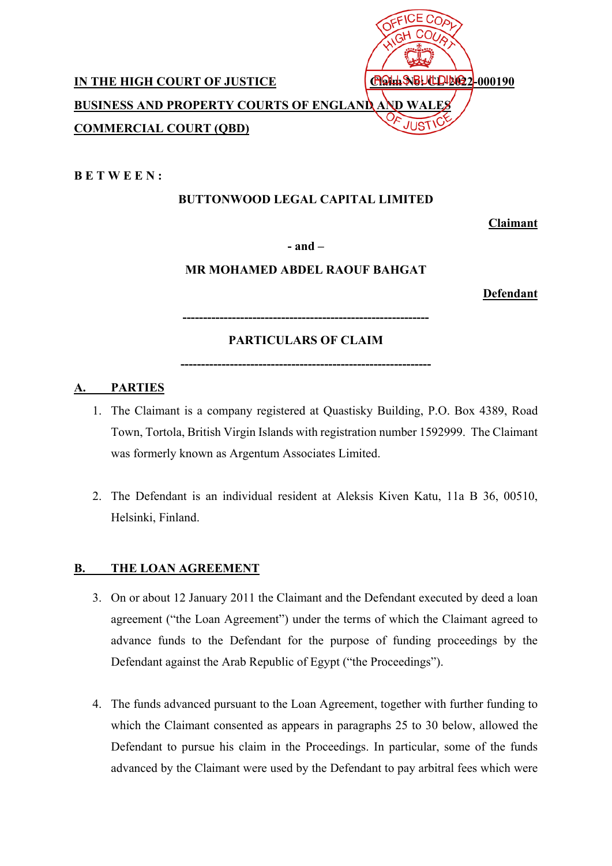

**B E T W E E N :** 

# **BUTTONWOOD LEGAL CAPITAL LIMITED**

**Claimant** 

**- and –** 

# **MR MOHAMED ABDEL RAOUF BAHGAT**

**Defendant** 

**------------------------------------------------------------** 

# **PARTICULARS OF CLAIM**

**-------------------------------------------------------------** 

# **A. PARTIES**

- 1. The Claimant is a company registered at Quastisky Building, P.O. Box 4389, Road Town, Tortola, British Virgin Islands with registration number 1592999. The Claimant was formerly known as Argentum Associates Limited.
- 2. The Defendant is an individual resident at Aleksis Kiven Katu, 11a B 36, 00510, Helsinki, Finland.

# **B. THE LOAN AGREEMENT**

- 3. On or about 12 January 2011 the Claimant and the Defendant executed by deed a loan agreement ("the Loan Agreement") under the terms of which the Claimant agreed to advance funds to the Defendant for the purpose of funding proceedings by the Defendant against the Arab Republic of Egypt ("the Proceedings").
- 4. The funds advanced pursuant to the Loan Agreement, together with further funding to which the Claimant consented as appears in paragraphs 25 to 30 below, allowed the Defendant to pursue his claim in the Proceedings. In particular, some of the funds advanced by the Claimant were used by the Defendant to pay arbitral fees which were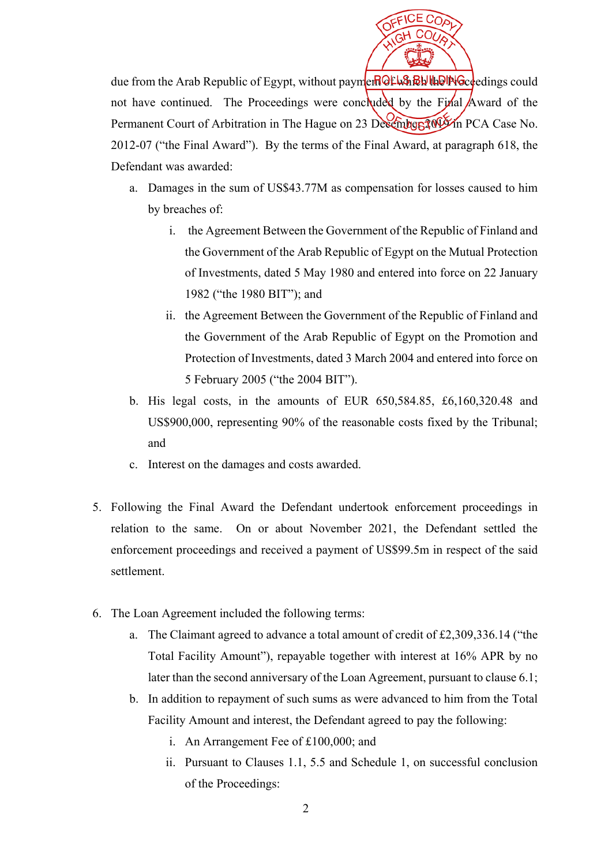

due from the Arab Republic of Egypt, without paymer of which the Proceedings could not have continued. The Proceedings were concluded by the Final Award of the Permanent Court of Arbitration in The Hague on 23 December 2019 in PCA Case No. 2012-07 ("the Final Award"). By the terms of the Final Award, at paragraph 618, the Defendant was awarded:

- a. Damages in the sum of US\$43.77M as compensation for losses caused to him by breaches of:
	- i. the Agreement Between the Government of the Republic of Finland and the Government of the Arab Republic of Egypt on the Mutual Protection of Investments, dated 5 May 1980 and entered into force on 22 January 1982 ("the 1980 BIT"); and
	- ii. the Agreement Between the Government of the Republic of Finland and the Government of the Arab Republic of Egypt on the Promotion and Protection of Investments, dated 3 March 2004 and entered into force on 5 February 2005 ("the 2004 BIT").
- b. His legal costs, in the amounts of EUR 650,584.85, £6,160,320.48 and US\$900,000, representing 90% of the reasonable costs fixed by the Tribunal; and
- c. Interest on the damages and costs awarded.
- 5. Following the Final Award the Defendant undertook enforcement proceedings in relation to the same. On or about November 2021, the Defendant settled the enforcement proceedings and received a payment of US\$99.5m in respect of the said settlement.
- 6. The Loan Agreement included the following terms:
	- a. The Claimant agreed to advance a total amount of credit of £2,309,336.14 ("the Total Facility Amount"), repayable together with interest at 16% APR by no later than the second anniversary of the Loan Agreement, pursuant to clause 6.1;
	- b. In addition to repayment of such sums as were advanced to him from the Total Facility Amount and interest, the Defendant agreed to pay the following:
		- i. An Arrangement Fee of £100,000; and
		- ii. Pursuant to Clauses 1.1, 5.5 and Schedule 1, on successful conclusion of the Proceedings: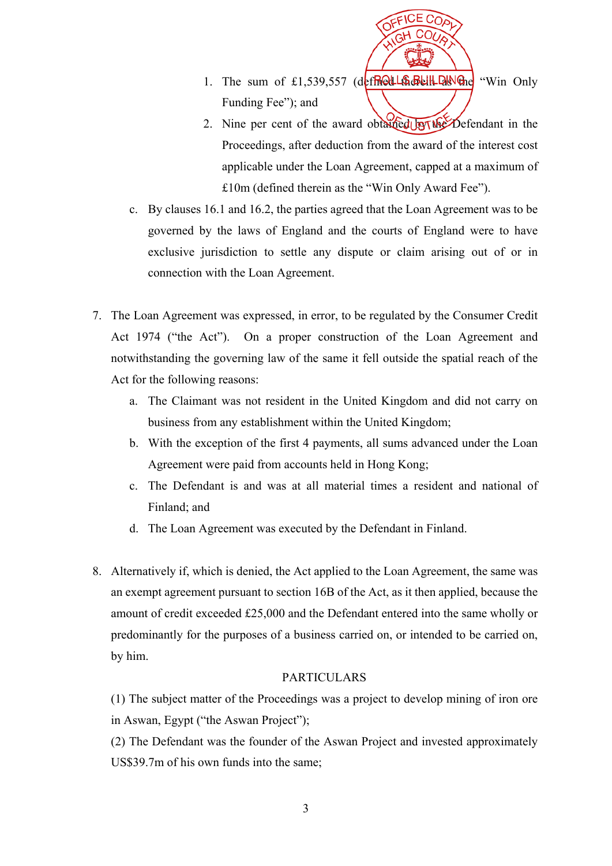

- 1. The sum of £1,539,557 (defined the sell the "Win Only Funding Fee"; and
- 2. Nine per cent of the award obtained by the Defendant in the Proceedings, after deduction from the award of the interest cost applicable under the Loan Agreement, capped at a maximum of £10m (defined therein as the "Win Only Award Fee").
- c. By clauses 16.1 and 16.2, the parties agreed that the Loan Agreement was to be governed by the laws of England and the courts of England were to have exclusive jurisdiction to settle any dispute or claim arising out of or in connection with the Loan Agreement.
- 7. The Loan Agreement was expressed, in error, to be regulated by the Consumer Credit Act 1974 ("the Act"). On a proper construction of the Loan Agreement and notwithstanding the governing law of the same it fell outside the spatial reach of the Act for the following reasons:
	- a. The Claimant was not resident in the United Kingdom and did not carry on business from any establishment within the United Kingdom;
	- b. With the exception of the first 4 payments, all sums advanced under the Loan Agreement were paid from accounts held in Hong Kong;
	- c. The Defendant is and was at all material times a resident and national of Finland; and
	- d. The Loan Agreement was executed by the Defendant in Finland.
- 8. Alternatively if, which is denied, the Act applied to the Loan Agreement, the same was an exempt agreement pursuant to section 16B of the Act, as it then applied, because the amount of credit exceeded £25,000 and the Defendant entered into the same wholly or predominantly for the purposes of a business carried on, or intended to be carried on, by him.

#### PARTICULARS

(1) The subject matter of the Proceedings was a project to develop mining of iron ore in Aswan, Egypt ("the Aswan Project");

(2) The Defendant was the founder of the Aswan Project and invested approximately US\$39.7m of his own funds into the same;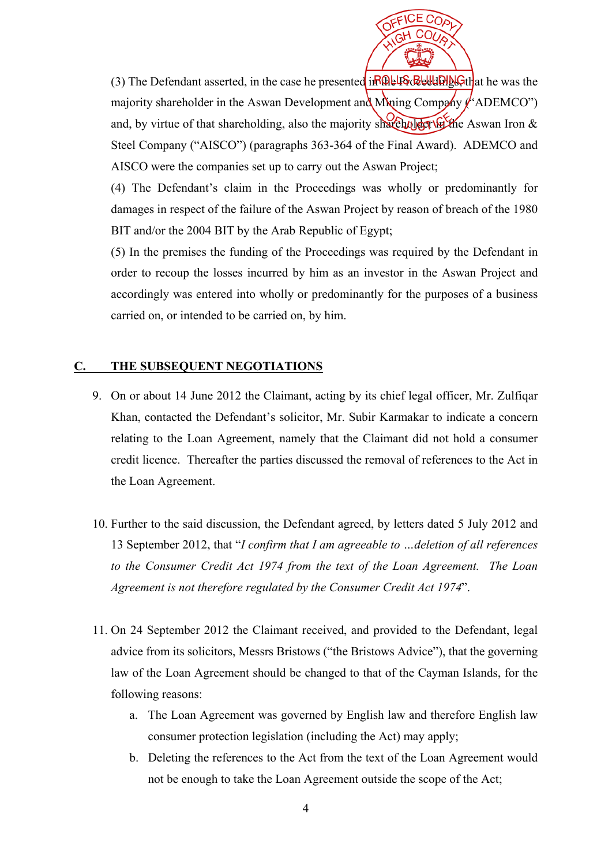

(3) The Defendant asserted, in the case he presented  $i \frac{R}{W}$   $\frac{R}{W}$   $\frac{R}{W}$   $\frac{R}{W}$  at he was the majority shareholder in the Aswan Development and Mining Company  $\ell$  ADEMCO") and, by virtue of that shareholding, also the majority shareholder in Aswan Iron  $\&$ Steel Company ("AISCO") (paragraphs 363-364 of the Final Award). ADEMCO and AISCO were the companies set up to carry out the Aswan Project;

(4) The Defendant's claim in the Proceedings was wholly or predominantly for damages in respect of the failure of the Aswan Project by reason of breach of the 1980 BIT and/or the 2004 BIT by the Arab Republic of Egypt;

(5) In the premises the funding of the Proceedings was required by the Defendant in order to recoup the losses incurred by him as an investor in the Aswan Project and accordingly was entered into wholly or predominantly for the purposes of a business carried on, or intended to be carried on, by him.

#### **C. THE SUBSEQUENT NEGOTIATIONS**

- 9. On or about 14 June 2012 the Claimant, acting by its chief legal officer, Mr. Zulfiqar Khan, contacted the Defendant's solicitor, Mr. Subir Karmakar to indicate a concern relating to the Loan Agreement, namely that the Claimant did not hold a consumer credit licence. Thereafter the parties discussed the removal of references to the Act in the Loan Agreement.
- 10. Further to the said discussion, the Defendant agreed, by letters dated 5 July 2012 and 13 September 2012, that "*I confirm that I am agreeable to …deletion of all references to the Consumer Credit Act 1974 from the text of the Loan Agreement. The Loan Agreement is not therefore regulated by the Consumer Credit Act 1974*".
- 11. On 24 September 2012 the Claimant received, and provided to the Defendant, legal advice from its solicitors, Messrs Bristows ("the Bristows Advice"), that the governing law of the Loan Agreement should be changed to that of the Cayman Islands, for the following reasons:
	- a. The Loan Agreement was governed by English law and therefore English law consumer protection legislation (including the Act) may apply;
	- b. Deleting the references to the Act from the text of the Loan Agreement would not be enough to take the Loan Agreement outside the scope of the Act;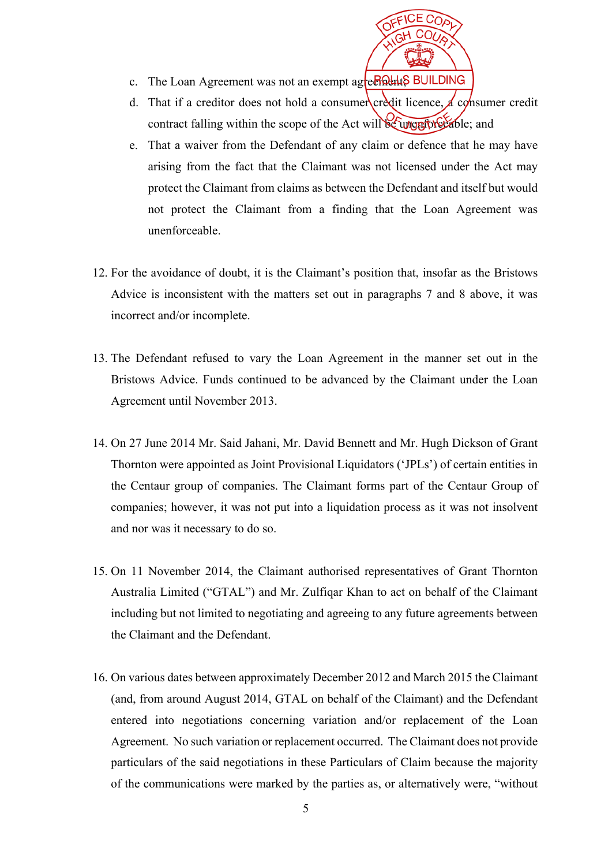

- c. The Loan Agreement was not an exempt agreements BUILDING
- d. That if a creditor does not hold a consumer credit licence,  $\Delta$  consumer credit contract falling within the scope of the Act will be unenforceable; and
- e. That a waiver from the Defendant of any claim or defence that he may have arising from the fact that the Claimant was not licensed under the Act may protect the Claimant from claims as between the Defendant and itself but would not protect the Claimant from a finding that the Loan Agreement was unenforceable.
- 12. For the avoidance of doubt, it is the Claimant's position that, insofar as the Bristows Advice is inconsistent with the matters set out in paragraphs 7 and 8 above, it was incorrect and/or incomplete.
- 13. The Defendant refused to vary the Loan Agreement in the manner set out in the Bristows Advice. Funds continued to be advanced by the Claimant under the Loan Agreement until November 2013.
- 14. On 27 June 2014 Mr. Said Jahani, Mr. David Bennett and Mr. Hugh Dickson of Grant Thornton were appointed as Joint Provisional Liquidators ('JPLs') of certain entities in the Centaur group of companies. The Claimant forms part of the Centaur Group of companies; however, it was not put into a liquidation process as it was not insolvent and nor was it necessary to do so.
- 15. On 11 November 2014, the Claimant authorised representatives of Grant Thornton Australia Limited ("GTAL") and Mr. Zulfiqar Khan to act on behalf of the Claimant including but not limited to negotiating and agreeing to any future agreements between the Claimant and the Defendant.
- 16. On various dates between approximately December 2012 and March 2015 the Claimant (and, from around August 2014, GTAL on behalf of the Claimant) and the Defendant entered into negotiations concerning variation and/or replacement of the Loan Agreement. No such variation or replacement occurred. The Claimant does not provide particulars of the said negotiations in these Particulars of Claim because the majority of the communications were marked by the parties as, or alternatively were, "without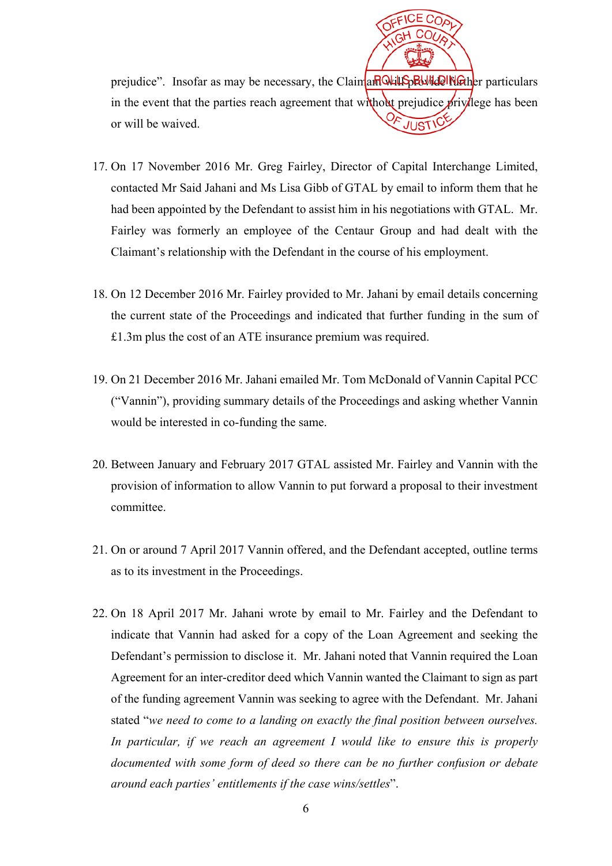prejudice". Insofar as may be necessary, the Claimant will provide interpretent particulars in the event that the parties reach agreement that without prejudice  $\frac{1}{2}$  privilege has been or will be waived.

- 17. On 17 November 2016 Mr. Greg Fairley, Director of Capital Interchange Limited, contacted Mr Said Jahani and Ms Lisa Gibb of GTAL by email to inform them that he had been appointed by the Defendant to assist him in his negotiations with GTAL. Mr. Fairley was formerly an employee of the Centaur Group and had dealt with the Claimant's relationship with the Defendant in the course of his employment.
- 18. On 12 December 2016 Mr. Fairley provided to Mr. Jahani by email details concerning the current state of the Proceedings and indicated that further funding in the sum of £1.3m plus the cost of an ATE insurance premium was required.
- 19. On 21 December 2016 Mr. Jahani emailed Mr. Tom McDonald of Vannin Capital PCC ("Vannin"), providing summary details of the Proceedings and asking whether Vannin would be interested in co-funding the same.
- 20. Between January and February 2017 GTAL assisted Mr. Fairley and Vannin with the provision of information to allow Vannin to put forward a proposal to their investment committee.
- 21. On or around 7 April 2017 Vannin offered, and the Defendant accepted, outline terms as to its investment in the Proceedings.
- 22. On 18 April 2017 Mr. Jahani wrote by email to Mr. Fairley and the Defendant to indicate that Vannin had asked for a copy of the Loan Agreement and seeking the Defendant's permission to disclose it. Mr. Jahani noted that Vannin required the Loan Agreement for an inter-creditor deed which Vannin wanted the Claimant to sign as part of the funding agreement Vannin was seeking to agree with the Defendant. Mr. Jahani stated "*we need to come to a landing on exactly the final position between ourselves. In particular, if we reach an agreement I would like to ensure this is properly documented with some form of deed so there can be no further confusion or debate around each parties' entitlements if the case wins/settles*".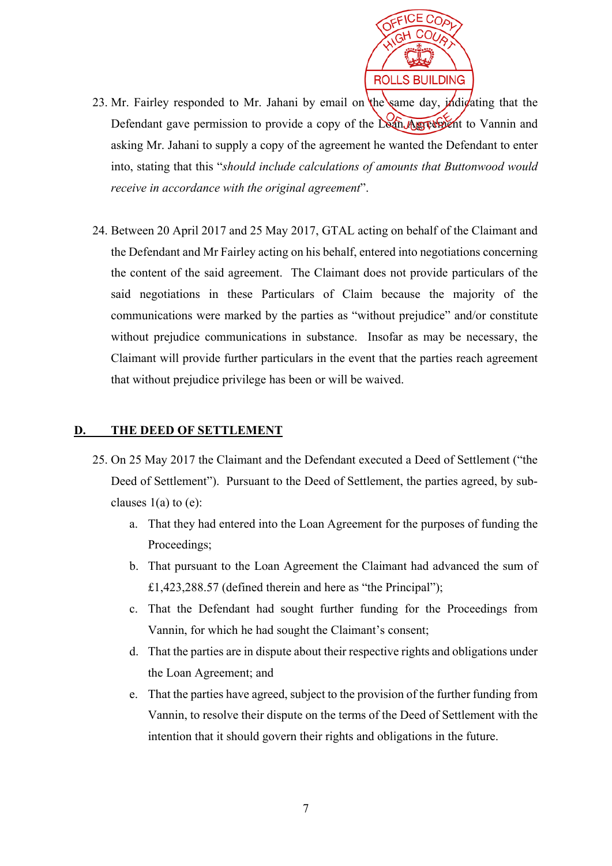

- 23. Mr. Fairley responded to Mr. Jahani by email on the same day, *individualing* that the Defendant gave permission to provide a copy of the Loan Agreement to Vannin and asking Mr. Jahani to supply a copy of the agreement he wanted the Defendant to enter into, stating that this "*should include calculations of amounts that Buttonwood would receive in accordance with the original agreement*".
- 24. Between 20 April 2017 and 25 May 2017, GTAL acting on behalf of the Claimant and the Defendant and Mr Fairley acting on his behalf, entered into negotiations concerning the content of the said agreement. The Claimant does not provide particulars of the said negotiations in these Particulars of Claim because the majority of the communications were marked by the parties as "without prejudice" and/or constitute without prejudice communications in substance. Insofar as may be necessary, the Claimant will provide further particulars in the event that the parties reach agreement that without prejudice privilege has been or will be waived.

### **D. THE DEED OF SETTLEMENT**

- 25. On 25 May 2017 the Claimant and the Defendant executed a Deed of Settlement ("the Deed of Settlement"). Pursuant to the Deed of Settlement, the parties agreed, by subclauses  $1(a)$  to  $(e)$ :
	- a. That they had entered into the Loan Agreement for the purposes of funding the Proceedings;
	- b. That pursuant to the Loan Agreement the Claimant had advanced the sum of £1,423,288.57 (defined therein and here as "the Principal");
	- c. That the Defendant had sought further funding for the Proceedings from Vannin, for which he had sought the Claimant's consent;
	- d. That the parties are in dispute about their respective rights and obligations under the Loan Agreement; and
	- e. That the parties have agreed, subject to the provision of the further funding from Vannin, to resolve their dispute on the terms of the Deed of Settlement with the intention that it should govern their rights and obligations in the future.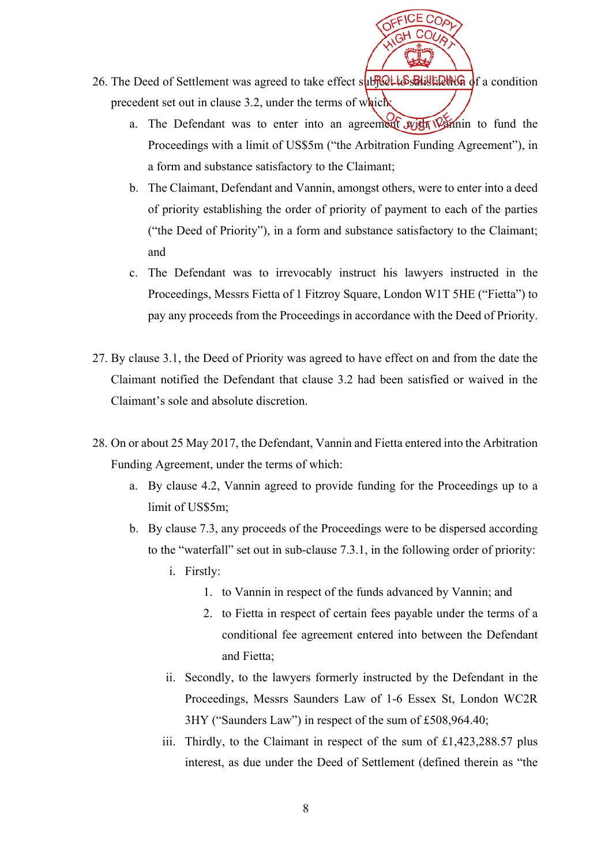

- 26. The Deed of Settlement was agreed to take effect subject to satisfaction precedent set out in clause 3.2, under the terms of which:
	- a. The Defendant was to enter into an agreement with Vannin to fund the Proceedings with a limit of US\$5m ("the Arbitration Funding Agreement"), in a form and substance satisfactory to the Claimant;
	- b. The Claimant, Defendant and Vannin, amongst others, were to enter into a deed of priority establishing the order of priority of payment to each of the parties ("the Deed of Priority"), in a form and substance satisfactory to the Claimant; and
	- c. The Defendant was to irrevocably instruct his lawyers instructed in the Proceedings, Messrs Fietta of 1 Fitzroy Square, London W1T 5HE ("Fietta") to pay any proceeds from the Proceedings in accordance with the Deed of Priority.
- 27. By clause 3.1, the Deed of Priority was agreed to have effect on and from the date the Claimant notified the Defendant that clause 3.2 had been satisfied or waived in the Claimant's sole and absolute discretion.
- 28. On or about 25 May 2017, the Defendant, Vannin and Fietta entered into the Arbitration Funding Agreement, under the terms of which:
	- a. By clause 4.2, Vannin agreed to provide funding for the Proceedings up to a limit of US\$5m;
	- b. By clause 7.3, any proceeds of the Proceedings were to be dispersed according to the "waterfall" set out in sub-clause 7.3.1, in the following order of priority:
		- i. Firstly:
			- 1. to Vannin in respect of the funds advanced by Vannin; and
			- 2. to Fietta in respect of certain fees payable under the terms of a conditional fee agreement entered into between the Defendant and Fietta;
		- ii. Secondly, to the lawyers formerly instructed by the Defendant in the Proceedings, Messrs Saunders Law of 1-6 Essex St, London WC2R 3HY ("Saunders Law") in respect of the sum of £508,964.40;
		- iii. Thirdly, to the Claimant in respect of the sum of  $\pounds$ 1,423,288.57 plus interest, as due under the Deed of Settlement (defined therein as "the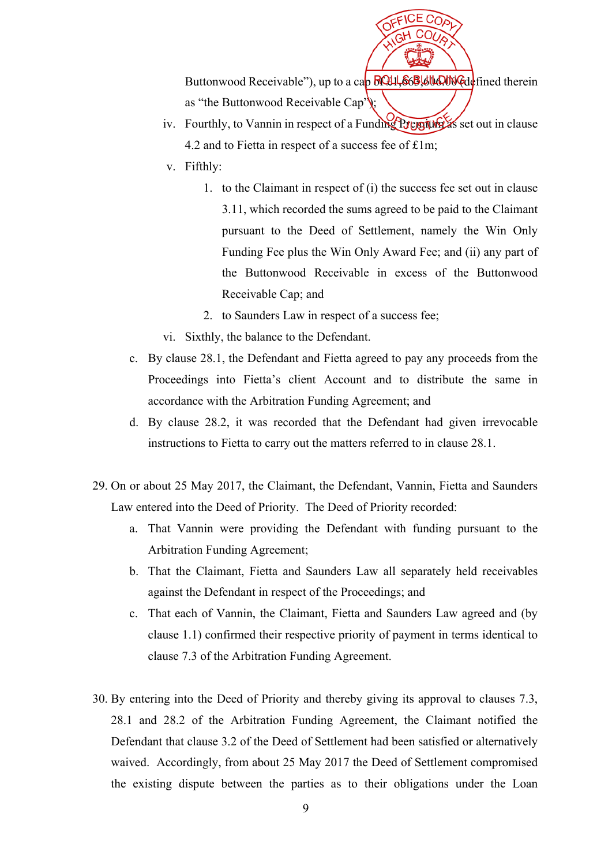Buttonwood Receivable"), up to a cap **8044, 663,600.000** (defined therein as "the Buttonwood Receivable Cap");

- iv. Fourthly, to Vannin in respect of a Funding Premium as set out in clause 4.2 and to Fietta in respect of a success fee of £1m;
- v. Fifthly:
	- 1. to the Claimant in respect of (i) the success fee set out in clause 3.11, which recorded the sums agreed to be paid to the Claimant pursuant to the Deed of Settlement, namely the Win Only Funding Fee plus the Win Only Award Fee; and (ii) any part of the Buttonwood Receivable in excess of the Buttonwood Receivable Cap; and
	- 2. to Saunders Law in respect of a success fee;
- vi. Sixthly, the balance to the Defendant.
- c. By clause 28.1, the Defendant and Fietta agreed to pay any proceeds from the Proceedings into Fietta's client Account and to distribute the same in accordance with the Arbitration Funding Agreement; and
- d. By clause 28.2, it was recorded that the Defendant had given irrevocable instructions to Fietta to carry out the matters referred to in clause 28.1.
- 29. On or about 25 May 2017, the Claimant, the Defendant, Vannin, Fietta and Saunders Law entered into the Deed of Priority. The Deed of Priority recorded:
	- a. That Vannin were providing the Defendant with funding pursuant to the Arbitration Funding Agreement;
	- b. That the Claimant, Fietta and Saunders Law all separately held receivables against the Defendant in respect of the Proceedings; and
	- c. That each of Vannin, the Claimant, Fietta and Saunders Law agreed and (by clause 1.1) confirmed their respective priority of payment in terms identical to clause 7.3 of the Arbitration Funding Agreement.
- 30. By entering into the Deed of Priority and thereby giving its approval to clauses 7.3, 28.1 and 28.2 of the Arbitration Funding Agreement, the Claimant notified the Defendant that clause 3.2 of the Deed of Settlement had been satisfied or alternatively waived. Accordingly, from about 25 May 2017 the Deed of Settlement compromised the existing dispute between the parties as to their obligations under the Loan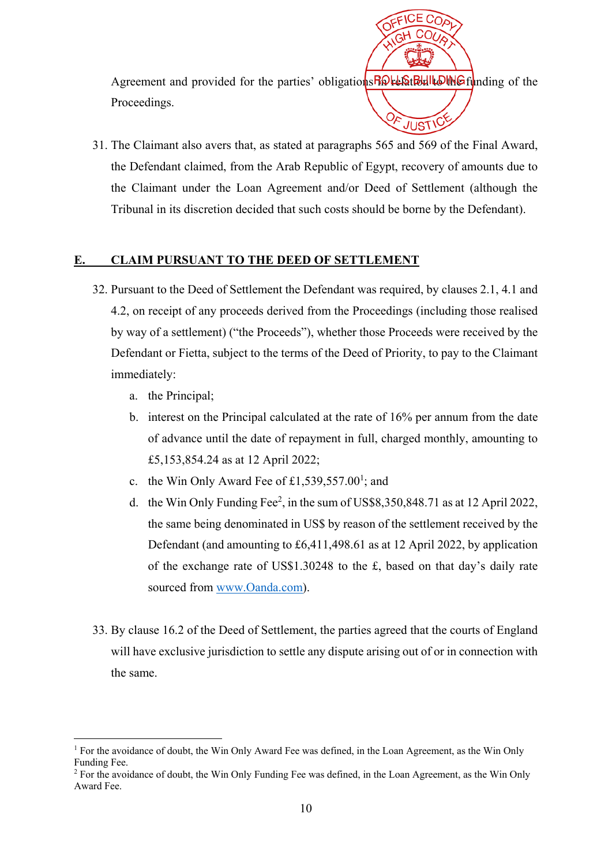Agreement and provided for the parties' obligation ship to the funding of the Proceedings. 59

JUST'

31. The Claimant also avers that, as stated at paragraphs 565 and 569 of the Final Award, the Defendant claimed, from the Arab Republic of Egypt, recovery of amounts due to the Claimant under the Loan Agreement and/or Deed of Settlement (although the Tribunal in its discretion decided that such costs should be borne by the Defendant).

#### **E. CLAIM PURSUANT TO THE DEED OF SETTLEMENT**

- 32. Pursuant to the Deed of Settlement the Defendant was required, by clauses 2.1, 4.1 and 4.2, on receipt of any proceeds derived from the Proceedings (including those realised by way of a settlement) ("the Proceeds"), whether those Proceeds were received by the Defendant or Fietta, subject to the terms of the Deed of Priority, to pay to the Claimant immediately:
	- a. the Principal;

<u>.</u>

- b. interest on the Principal calculated at the rate of 16% per annum from the date of advance until the date of repayment in full, charged monthly, amounting to £5,153,854.24 as at 12 April 2022;
- c. the Win Only Award Fee of  $£1,539,557.00^1$ ; and
- d. the Win Only Funding Fee<sup>2</sup>, in the sum of US\$8,350,848.71 as at 12 April 2022, the same being denominated in US\$ by reason of the settlement received by the Defendant (and amounting to £6,411,498.61 as at 12 April 2022, by application of the exchange rate of US\$1.30248 to the £, based on that day's daily rate sourced from www.Oanda.com).
- 33. By clause 16.2 of the Deed of Settlement, the parties agreed that the courts of England will have exclusive jurisdiction to settle any dispute arising out of or in connection with the same.

<sup>&</sup>lt;sup>1</sup> For the avoidance of doubt, the Win Only Award Fee was defined, in the Loan Agreement, as the Win Only Funding Fee.

<sup>&</sup>lt;sup>2</sup> For the avoidance of doubt, the Win Only Funding Fee was defined, in the Loan Agreement, as the Win Only Award Fee.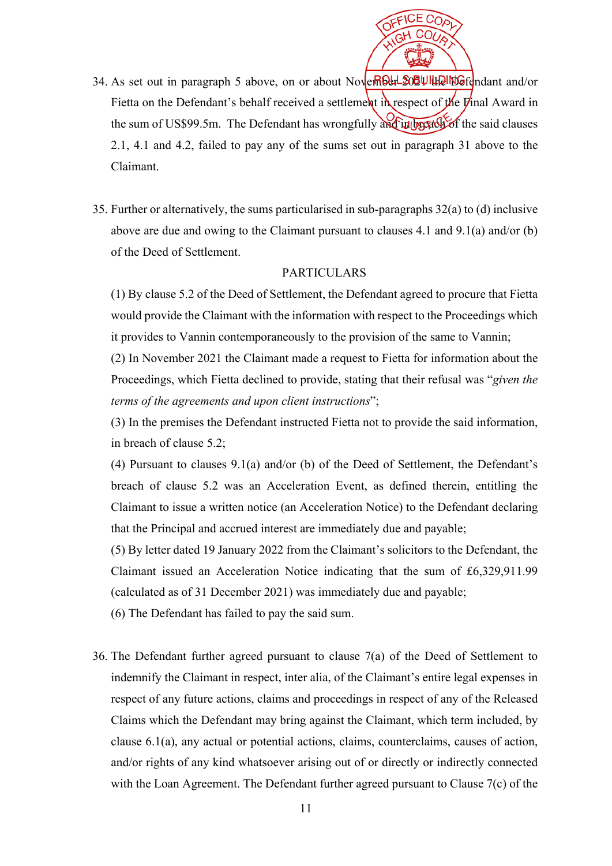

- 34. As set out in paragraph 5 above, on or about November 2020 Ultill Note nd and/or Fietta on the Defendant's behalf received a settlement in respect of the  $\vec{y}$  inal Award in the sum of US\$99.5m. The Defendant has wrongfully and in breach of the said clauses 2.1, 4.1 and 4.2, failed to pay any of the sums set out in paragraph 31 above to the Claimant.
- 35. Further or alternatively, the sums particularised in sub-paragraphs 32(a) to (d) inclusive above are due and owing to the Claimant pursuant to clauses 4.1 and 9.1(a) and/or (b) of the Deed of Settlement.

#### PARTICULARS

(1) By clause 5.2 of the Deed of Settlement, the Defendant agreed to procure that Fietta would provide the Claimant with the information with respect to the Proceedings which it provides to Vannin contemporaneously to the provision of the same to Vannin;

(2) In November 2021 the Claimant made a request to Fietta for information about the Proceedings, which Fietta declined to provide, stating that their refusal was "*given the terms of the agreements and upon client instructions*";

(3) In the premises the Defendant instructed Fietta not to provide the said information, in breach of clause 5.2;

(4) Pursuant to clauses 9.1(a) and/or (b) of the Deed of Settlement, the Defendant's breach of clause 5.2 was an Acceleration Event, as defined therein, entitling the Claimant to issue a written notice (an Acceleration Notice) to the Defendant declaring that the Principal and accrued interest are immediately due and payable;

(5) By letter dated 19 January 2022 from the Claimant's solicitors to the Defendant, the Claimant issued an Acceleration Notice indicating that the sum of £6,329,911.99 (calculated as of 31 December 2021) was immediately due and payable;

(6) The Defendant has failed to pay the said sum.

36. The Defendant further agreed pursuant to clause 7(a) of the Deed of Settlement to indemnify the Claimant in respect, inter alia, of the Claimant's entire legal expenses in respect of any future actions, claims and proceedings in respect of any of the Released Claims which the Defendant may bring against the Claimant, which term included, by clause 6.1(a), any actual or potential actions, claims, counterclaims, causes of action, and/or rights of any kind whatsoever arising out of or directly or indirectly connected with the Loan Agreement. The Defendant further agreed pursuant to Clause 7(c) of the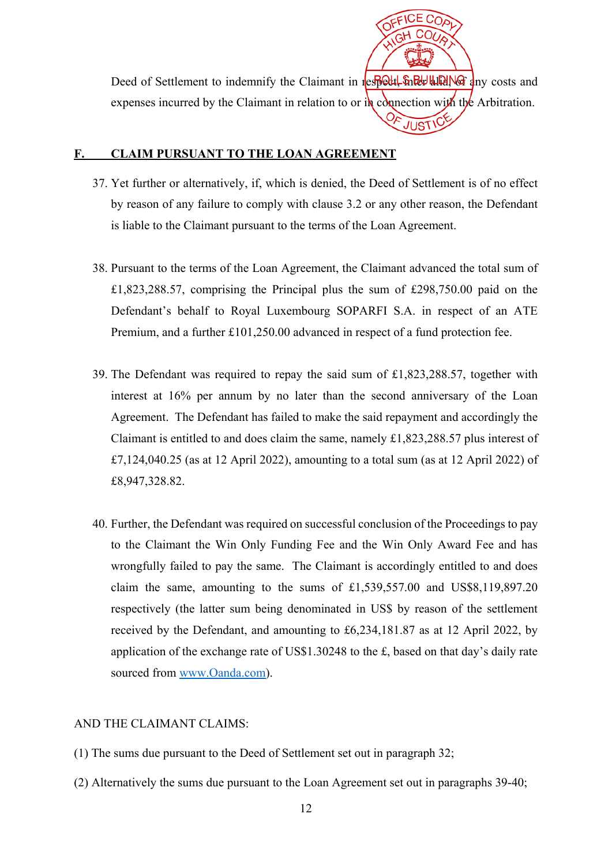Deed of Settlement to indemnify the Claimant in respect, inter all the any costs and expenses incurred by the Claimant in relation to or  $\mathbf{r}_k$  connection with the Arbitration. JUST

### **F. CLAIM PURSUANT TO THE LOAN AGREEMENT**

- 37. Yet further or alternatively, if, which is denied, the Deed of Settlement is of no effect by reason of any failure to comply with clause 3.2 or any other reason, the Defendant is liable to the Claimant pursuant to the terms of the Loan Agreement.
- 38. Pursuant to the terms of the Loan Agreement, the Claimant advanced the total sum of £1,823,288.57, comprising the Principal plus the sum of £298,750.00 paid on the Defendant's behalf to Royal Luxembourg SOPARFI S.A. in respect of an ATE Premium, and a further £101,250.00 advanced in respect of a fund protection fee.
- 39. The Defendant was required to repay the said sum of £1,823,288.57, together with interest at 16% per annum by no later than the second anniversary of the Loan Agreement. The Defendant has failed to make the said repayment and accordingly the Claimant is entitled to and does claim the same, namely £1,823,288.57 plus interest of £7,124,040.25 (as at 12 April 2022), amounting to a total sum (as at 12 April 2022) of £8,947,328.82.
- 40. Further, the Defendant was required on successful conclusion of the Proceedings to pay to the Claimant the Win Only Funding Fee and the Win Only Award Fee and has wrongfully failed to pay the same. The Claimant is accordingly entitled to and does claim the same, amounting to the sums of £1,539,557.00 and US\$8,119,897.20 respectively (the latter sum being denominated in US\$ by reason of the settlement received by the Defendant, and amounting to £6,234,181.87 as at 12 April 2022, by application of the exchange rate of US\$1.30248 to the £, based on that day's daily rate sourced from www.Oanda.com).

# AND THE CLAIMANT CLAIMS:

- (1) The sums due pursuant to the Deed of Settlement set out in paragraph 32;
- (2) Alternatively the sums due pursuant to the Loan Agreement set out in paragraphs 39-40;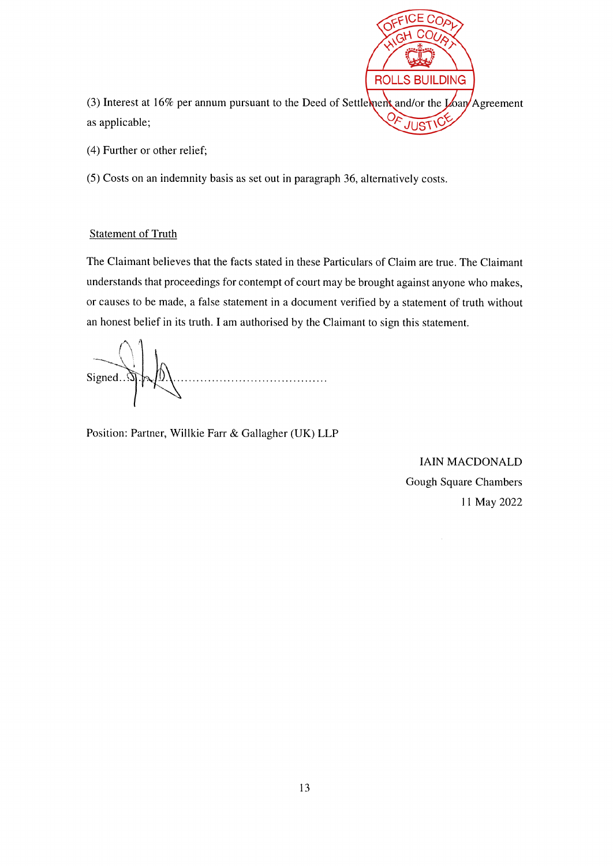

(4) Further or other relief;

(5) Costs on an indemnity basis as set out in paragraph 36, alternatively costs.

### **Statement of Truth**

The Claimant believes that the facts stated in these Particulars of Claim are true. The Claimant understands that proceedings for contempt of court may be brought against anyone who makes, or causes to be made, a false statement in a document verified by a statement of truth without an honest belief in its truth. I am authorised by the Claimant to sign this statement.

Signed.  $\mathfrak{A}$ . . . . . . . . . . . . . . . . . . . .

Position: Partner, Willkie Farr & Gallagher (UK) LLP

**IAIN MACDONALD** Gough Square Chambers 11 May 2022